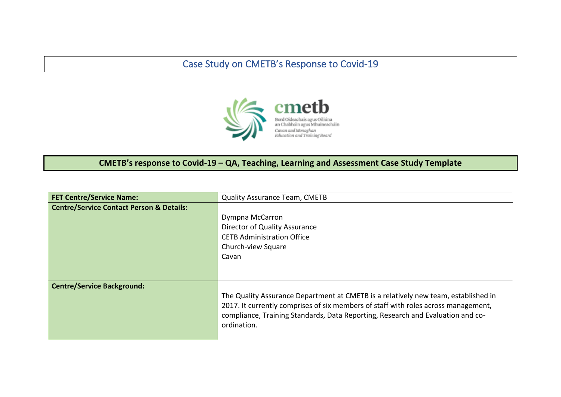## Case Study on CMETB's Response to Covid-19



## **CMETB's response to Covid-19 – QA, Teaching, Learning and Assessment Case Study Template**

| <b>FET Centre/Service Name:</b>                     | <b>Quality Assurance Team, CMETB</b>                                                                                                                                                                                                                                       |
|-----------------------------------------------------|----------------------------------------------------------------------------------------------------------------------------------------------------------------------------------------------------------------------------------------------------------------------------|
| <b>Centre/Service Contact Person &amp; Details:</b> | Dympna McCarron<br>Director of Quality Assurance<br><b>CETB Administration Office</b><br>Church-view Square<br>Cavan                                                                                                                                                       |
| <b>Centre/Service Background:</b>                   | The Quality Assurance Department at CMETB is a relatively new team, established in<br>2017. It currently comprises of six members of staff with roles across management,<br>compliance, Training Standards, Data Reporting, Research and Evaluation and co-<br>ordination. |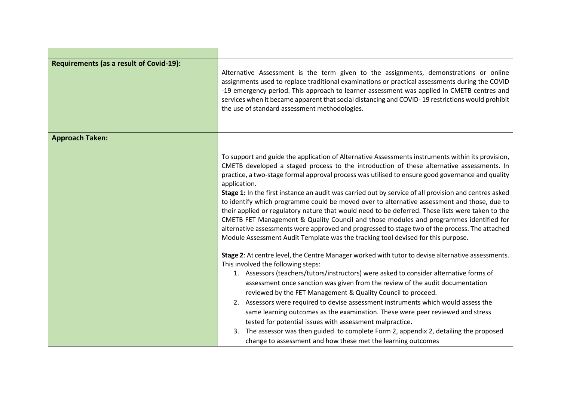| <b>Requirements (as a result of Covid-19):</b> | Alternative Assessment is the term given to the assignments, demonstrations or online<br>assignments used to replace traditional examinations or practical assessments during the COVID<br>-19 emergency period. This approach to learner assessment was applied in CMETB centres and<br>services when it became apparent that social distancing and COVID-19 restrictions would prohibit<br>the use of standard assessment methodologies.                                                                                                                                                                                                                                                                                                                                                                                                                                                                     |
|------------------------------------------------|----------------------------------------------------------------------------------------------------------------------------------------------------------------------------------------------------------------------------------------------------------------------------------------------------------------------------------------------------------------------------------------------------------------------------------------------------------------------------------------------------------------------------------------------------------------------------------------------------------------------------------------------------------------------------------------------------------------------------------------------------------------------------------------------------------------------------------------------------------------------------------------------------------------|
| <b>Approach Taken:</b>                         |                                                                                                                                                                                                                                                                                                                                                                                                                                                                                                                                                                                                                                                                                                                                                                                                                                                                                                                |
|                                                | To support and guide the application of Alternative Assessments instruments within its provision,<br>CMETB developed a staged process to the introduction of these alternative assessments. In<br>practice, a two-stage formal approval process was utilised to ensure good governance and quality<br>application.<br>Stage 1: In the first instance an audit was carried out by service of all provision and centres asked<br>to identify which programme could be moved over to alternative assessment and those, due to<br>their applied or regulatory nature that would need to be deferred. These lists were taken to the<br>CMETB FET Management & Quality Council and those modules and programmes identified for<br>alternative assessments were approved and progressed to stage two of the process. The attached<br>Module Assessment Audit Template was the tracking tool devised for this purpose. |
|                                                | Stage 2: At centre level, the Centre Manager worked with tutor to devise alternative assessments.<br>This involved the following steps:<br>1. Assessors (teachers/tutors/instructors) were asked to consider alternative forms of                                                                                                                                                                                                                                                                                                                                                                                                                                                                                                                                                                                                                                                                              |
|                                                | assessment once sanction was given from the review of the audit documentation                                                                                                                                                                                                                                                                                                                                                                                                                                                                                                                                                                                                                                                                                                                                                                                                                                  |
|                                                | reviewed by the FET Management & Quality Council to proceed.                                                                                                                                                                                                                                                                                                                                                                                                                                                                                                                                                                                                                                                                                                                                                                                                                                                   |
|                                                | 2. Assessors were required to devise assessment instruments which would assess the                                                                                                                                                                                                                                                                                                                                                                                                                                                                                                                                                                                                                                                                                                                                                                                                                             |
|                                                | same learning outcomes as the examination. These were peer reviewed and stress                                                                                                                                                                                                                                                                                                                                                                                                                                                                                                                                                                                                                                                                                                                                                                                                                                 |
|                                                | tested for potential issues with assessment malpractice.                                                                                                                                                                                                                                                                                                                                                                                                                                                                                                                                                                                                                                                                                                                                                                                                                                                       |
|                                                | The assessor was then guided to complete Form 2, appendix 2, detailing the proposed<br>3.                                                                                                                                                                                                                                                                                                                                                                                                                                                                                                                                                                                                                                                                                                                                                                                                                      |
|                                                | change to assessment and how these met the learning outcomes                                                                                                                                                                                                                                                                                                                                                                                                                                                                                                                                                                                                                                                                                                                                                                                                                                                   |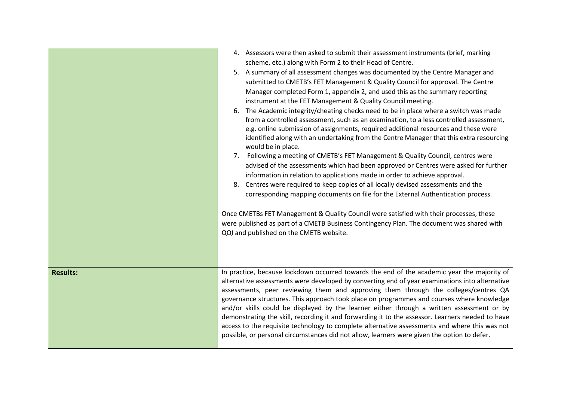|                 | 4. Assessors were then asked to submit their assessment instruments (brief, marking<br>scheme, etc.) along with Form 2 to their Head of Centre.<br>5. A summary of all assessment changes was documented by the Centre Manager and<br>submitted to CMETB's FET Management & Quality Council for approval. The Centre<br>Manager completed Form 1, appendix 2, and used this as the summary reporting<br>instrument at the FET Management & Quality Council meeting.<br>6. The Academic integrity/cheating checks need to be in place where a switch was made<br>from a controlled assessment, such as an examination, to a less controlled assessment,<br>e.g. online submission of assignments, required additional resources and these were<br>identified along with an undertaking from the Centre Manager that this extra resourcing<br>would be in place.<br>Following a meeting of CMETB's FET Management & Quality Council, centres were<br>7.<br>advised of the assessments which had been approved or Centres were asked for further<br>information in relation to applications made in order to achieve approval.<br>8. Centres were required to keep copies of all locally devised assessments and the<br>corresponding mapping documents on file for the External Authentication process.<br>Once CMETBs FET Management & Quality Council were satisfied with their processes, these<br>were published as part of a CMETB Business Contingency Plan. The document was shared with<br>QQI and published on the CMETB website. |
|-----------------|------------------------------------------------------------------------------------------------------------------------------------------------------------------------------------------------------------------------------------------------------------------------------------------------------------------------------------------------------------------------------------------------------------------------------------------------------------------------------------------------------------------------------------------------------------------------------------------------------------------------------------------------------------------------------------------------------------------------------------------------------------------------------------------------------------------------------------------------------------------------------------------------------------------------------------------------------------------------------------------------------------------------------------------------------------------------------------------------------------------------------------------------------------------------------------------------------------------------------------------------------------------------------------------------------------------------------------------------------------------------------------------------------------------------------------------------------------------------------------------------------------------------------------------|
| <b>Results:</b> | In practice, because lockdown occurred towards the end of the academic year the majority of<br>alternative assessments were developed by converting end of year examinations into alternative<br>assessments, peer reviewing them and approving them through the colleges/centres QA<br>governance structures. This approach took place on programmes and courses where knowledge<br>and/or skills could be displayed by the learner either through a written assessment or by<br>demonstrating the skill, recording it and forwarding it to the assessor. Learners needed to have<br>access to the requisite technology to complete alternative assessments and where this was not<br>possible, or personal circumstances did not allow, learners were given the option to defer.                                                                                                                                                                                                                                                                                                                                                                                                                                                                                                                                                                                                                                                                                                                                                       |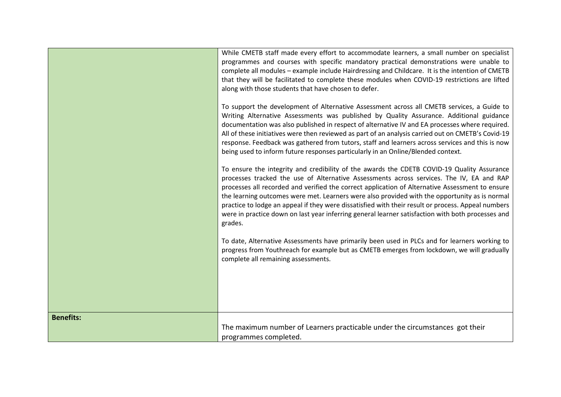|                  | While CMETB staff made every effort to accommodate learners, a small number on specialist<br>programmes and courses with specific mandatory practical demonstrations were unable to<br>complete all modules - example include Hairdressing and Childcare. It is the intention of CMETB<br>that they will be facilitated to complete these modules when COVID-19 restrictions are lifted<br>along with those students that have chosen to defer.                                                                                                                                                                  |
|------------------|------------------------------------------------------------------------------------------------------------------------------------------------------------------------------------------------------------------------------------------------------------------------------------------------------------------------------------------------------------------------------------------------------------------------------------------------------------------------------------------------------------------------------------------------------------------------------------------------------------------|
|                  | To support the development of Alternative Assessment across all CMETB services, a Guide to<br>Writing Alternative Assessments was published by Quality Assurance. Additional guidance<br>documentation was also published in respect of alternative IV and EA processes where required.<br>All of these initiatives were then reviewed as part of an analysis carried out on CMETB's Covid-19<br>response. Feedback was gathered from tutors, staff and learners across services and this is now<br>being used to inform future responses particularly in an Online/Blended context.                             |
|                  | To ensure the integrity and credibility of the awards the CDETB COVID-19 Quality Assurance<br>processes tracked the use of Alternative Assessments across services. The IV, EA and RAP<br>processes all recorded and verified the correct application of Alternative Assessment to ensure<br>the learning outcomes were met. Learners were also provided with the opportunity as is normal<br>practice to lodge an appeal if they were dissatisfied with their result or process. Appeal numbers<br>were in practice down on last year inferring general learner satisfaction with both processes and<br>grades. |
|                  | To date, Alternative Assessments have primarily been used in PLCs and for learners working to<br>progress from Youthreach for example but as CMETB emerges from lockdown, we will gradually<br>complete all remaining assessments.                                                                                                                                                                                                                                                                                                                                                                               |
|                  |                                                                                                                                                                                                                                                                                                                                                                                                                                                                                                                                                                                                                  |
| <b>Benefits:</b> | The maximum number of Learners practicable under the circumstances got their<br>programmes completed.                                                                                                                                                                                                                                                                                                                                                                                                                                                                                                            |